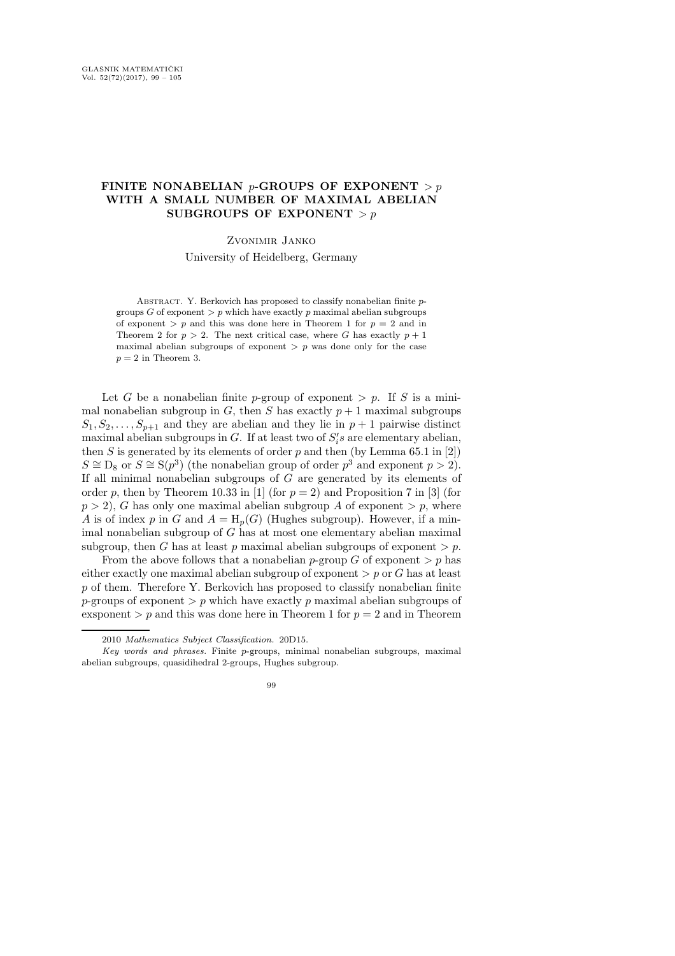## FINITE NONABELIAN  $p$ -GROUPS OF EXPONENT > p WITH A SMALL NUMBER OF MAXIMAL ABELIAN SUBGROUPS OF EXPONENT  $> p$

Zvonimir Janko

University of Heidelberg, Germany

ABSTRACT. Y. Berkovich has proposed to classify nonabelian finite pgroups G of exponent  $\geq p$  which have exactly p maximal abelian subgroups of exponent  $\geq p$  and this was done here in Theorem 1 for  $p = 2$  and in Theorem 2 for  $p > 2$ . The next critical case, where G has exactly  $p + 1$ maximal abelian subgroups of exponent  $\geq p$  was done only for the case  $p = 2$  in Theorem 3.

Let G be a nonabelian finite p-group of exponent  $> p$ . If S is a minimal nonabelian subgroup in G, then S has exactly  $p + 1$  maximal subgroups  $S_1, S_2, \ldots, S_{p+1}$  and they are abelian and they lie in  $p+1$  pairwise distinct maximal abelian subgroups in G. If at least two of  $S_i$ s are elementary abelian, then S is generated by its elements of order  $p$  and then (by Lemma 65.1 in [2])  $S \cong D_8$  or  $S \cong S(p^3)$  (the nonabelian group of order  $p^3$  and exponent  $p > 2$ ). If all minimal nonabelian subgroups of  $G$  are generated by its elements of order p, then by Theorem 10.33 in [1] (for  $p = 2$ ) and Proposition 7 in [3] (for  $p > 2$ , G has only one maximal abelian subgroup A of exponent  $> p$ , where A is of index p in G and  $A = H_n(G)$  (Hughes subgroup). However, if a minimal nonabelian subgroup of  $G$  has at most one elementary abelian maximal subgroup, then G has at least p maximal abelian subgroups of exponent  $> p$ .

From the above follows that a nonabelian p-group G of exponent  $\geq p$  has either exactly one maximal abelian subgroup of exponent  $\geq p$  or G has at least  $p$  of them. Therefore Y. Berkovich has proposed to classify nonabelian finite  $p$ -groups of exponent  $\geq p$  which have exactly p maximal abelian subgroups of exsponent  $\geq p$  and this was done here in Theorem 1 for  $p = 2$  and in Theorem

<sup>2010</sup> Mathematics Subject Classification. 20D15.

Key words and phrases. Finite p-groups, minimal nonabelian subgroups, maximal abelian subgroups, quasidihedral 2-groups, Hughes subgroup.

<sup>99</sup>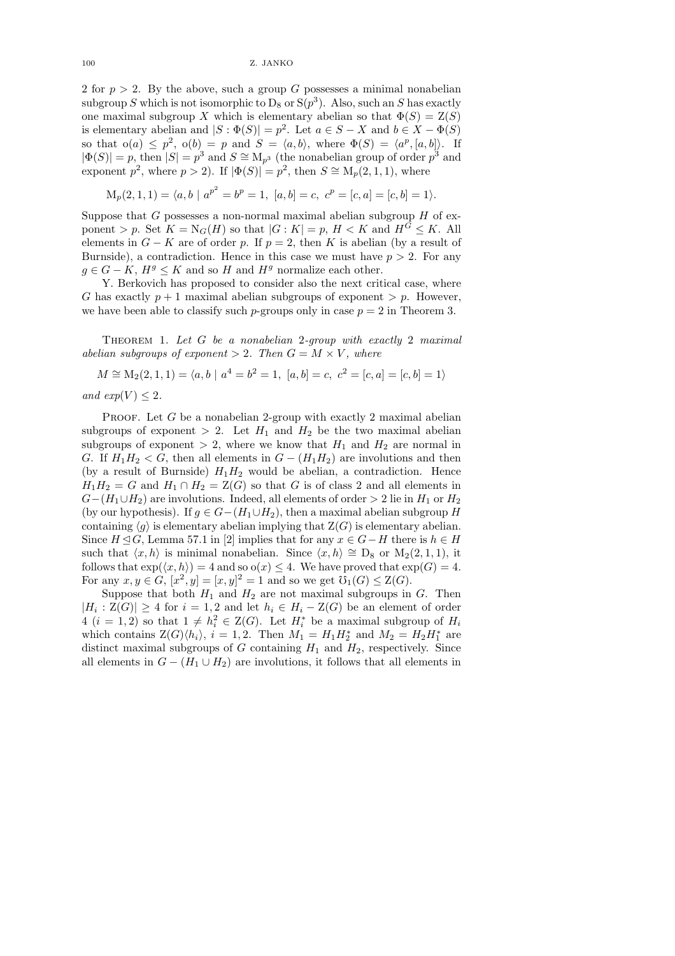100 Z. JANKO

2 for  $p > 2$ . By the above, such a group G possesses a minimal nonabelian subgroup S which is not isomorphic to  $D_8$  or  $S(p^3)$ . Also, such an S has exactly one maximal subgroup X which is elementary abelian so that  $\Phi(S) = Z(S)$ is elementary abelian and  $|S : \Phi(S)| = p^2$ . Let  $a \in S - X$  and  $b \in X - \Phi(S)$ so that  $o(a) \leq p^2$ ,  $o(b) = p$  and  $S = \langle a, b \rangle$ , where  $\Phi(S) = \langle a^p, [a, b] \rangle$ . If  $|\Phi(S)| = p$ , then  $|S| = p^3$  and  $S \cong M_{p^3}$  (the nonabelian group of order  $p^3$  and exponent  $p^2$ , where  $p > 2$ ). If  $|\Phi(S)| = p^2$ , then  $S \cong M_p(2, 1, 1)$ , where

$$
M_p(2,1,1) = \langle a, b \mid a^{p^2} = b^p = 1, [a, b] = c, c^p = [c, a] = [c, b] = 1 \rangle.
$$

Suppose that  $G$  possesses a non-normal maximal abelian subgroup  $H$  of exponent > p. Set  $K = N_G(H)$  so that  $|G: K| = p$ ,  $H < K$  and  $H^G \leq K$ . All elements in  $G - K$  are of order p. If  $p = 2$ , then K is abelian (by a result of Burnside), a contradiction. Hence in this case we must have  $p > 2$ . For any  $q \in G - K$ ,  $H<sup>g</sup> \leq K$  and so H and  $H<sup>g</sup>$  normalize each other.

Y. Berkovich has proposed to consider also the next critical case, where G has exactly  $p + 1$  maximal abelian subgroups of exponent  $\geq p$ . However, we have been able to classify such p-groups only in case  $p = 2$  in Theorem 3.

THEOREM 1. Let  $G$  be a nonabelian 2-group with exactly 2 maximal abelian subgroups of exponent  $> 2$ . Then  $G = M \times V$ , where

$$
M \cong M_2(2, 1, 1) = \langle a, b \mid a^4 = b^2 = 1, [a, b] = c, c^2 = [c, a] = [c, b] = 1 \rangle
$$

## and  $exp(V) \leq 2$ .

PROOF. Let  $G$  be a nonabelian 2-group with exactly 2 maximal abelian subgroups of exponent  $> 2$ . Let  $H_1$  and  $H_2$  be the two maximal abelian subgroups of exponent  $> 2$ , where we know that  $H_1$  and  $H_2$  are normal in G. If  $H_1H_2 < G$ , then all elements in  $G - (H_1H_2)$  are involutions and then (by a result of Burnside)  $H_1H_2$  would be abelian, a contradiction. Hence  $H_1H_2 = G$  and  $H_1 \cap H_2 = Z(G)$  so that G is of class 2 and all elements in  $G-(H_1 \cup H_2)$  are involutions. Indeed, all elements of order > 2 lie in  $H_1$  or  $H_2$ (by our hypothesis). If  $g \in G-(H_1 \cup H_2)$ , then a maximal abelian subgroup H containing  $\langle g \rangle$  is elementary abelian implying that  $Z(G)$  is elementary abelian. Since  $H \trianglelefteq G$ , Lemma 57.1 in [2] implies that for any  $x \in G-H$  there is  $h \in H$ such that  $\langle x, h \rangle$  is minimal nonabelian. Since  $\langle x, h \rangle \cong D_8$  or M<sub>2</sub>(2, 1, 1), it follows that  $\exp(\langle x, h \rangle) = 4$  and so  $o(x) \leq 4$ . We have proved that  $\exp(G) = 4$ . For any  $x, y \in G$ ,  $[x^2, y] = [x, y]^2 = 1$  and so we get  $\mathcal{O}_1(G) \leq \mathcal{Z}(G)$ .

Suppose that both  $H_1$  and  $H_2$  are not maximal subgroups in G. Then  $|H_i: \mathbb{Z}(G)| \geq 4$  for  $i = 1, 2$  and let  $h_i \in H_i - \mathbb{Z}(G)$  be an element of order  $4 (i = 1, 2)$  so that  $1 \neq h_i^2 \in \mathbb{Z}(G)$ . Let  $H_i^*$  be a maximal subgroup of  $H_i$ which contains  $\mathcal{Z}(G)\langle h_i \rangle$ ,  $i = 1, 2$ . Then  $M_1 = H_1 H_2^*$  and  $M_2 = H_2 H_1^*$  are distinct maximal subgroups of G containing  $H_1$  and  $H_2$ , respectively. Since all elements in  $G - (H_1 \cup H_2)$  are involutions, it follows that all elements in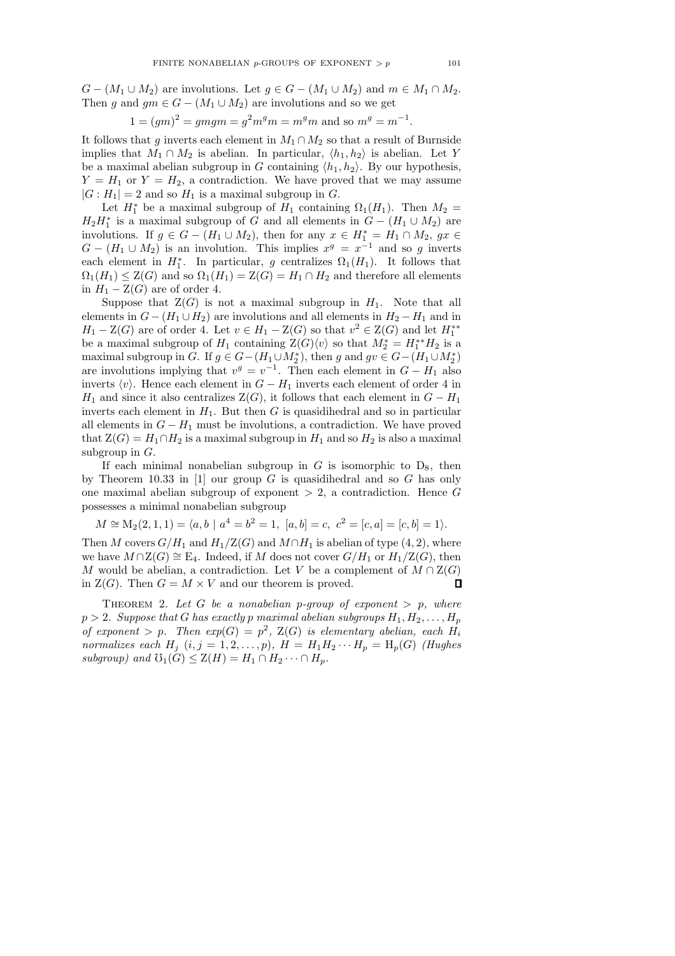$G - (M_1 \cup M_2)$  are involutions. Let  $g \in G - (M_1 \cup M_2)$  and  $m \in M_1 \cap M_2$ . Then g and  $gm \in G - (M_1 \cup M_2)$  are involutions and so we get

$$
1 = (gm)^2 = gmgm = g^2m^gm = m^gm \text{ and so } m^g = m^{-1}.
$$

It follows that g inverts each element in  $M_1 \cap M_2$  so that a result of Burnside implies that  $M_1 \cap M_2$  is abelian. In particular,  $\langle h_1, h_2 \rangle$  is abelian. Let Y be a maximal abelian subgroup in G containing  $\langle h_1, h_2 \rangle$ . By our hypothesis,  $Y = H_1$  or  $Y = H_2$ , a contradiction. We have proved that we may assume  $|G : H_1| = 2$  and so  $H_1$  is a maximal subgroup in G.

Let  $H_1^*$  be a maximal subgroup of  $H_1$  containing  $\Omega_1(H_1)$ . Then  $M_2 =$  $H_2H_1^*$  is a maximal subgroup of G and all elements in  $G - (H_1 \cup M_2)$  are involutions. If  $g \in G - (H_1 \cup M_2)$ , then for any  $x \in H_1^* = H_1 \cap M_2$ ,  $gx \in$  $G - (H_1 \cup M_2)$  is an involution. This implies  $x^g = x^{-1}$  and so g inverts each element in  $H_1^*$ . In particular, g centralizes  $\Omega_1(H_1)$ . It follows that  $\Omega_1(H_1) \leq Z(G)$  and so  $\Omega_1(H_1) = Z(G) = H_1 \cap H_2$  and therefore all elements in  $H_1 - Z(G)$  are of order 4.

Suppose that  $Z(G)$  is not a maximal subgroup in  $H_1$ . Note that all elements in  $G - (H_1 \cup H_2)$  are involutions and all elements in  $H_2 - H_1$  and in  $H_1 - Z(G)$  are of order 4. Let  $v \in H_1 - Z(G)$  so that  $v^2 \in Z(G)$  and let  $H_1^{**}$ be a maximal subgroup of  $H_1$  containing  $Z(G)\langle v \rangle$  so that  $M_2^* = H_1^{**}H_2$  is a maximal subgroup in G. If  $g \in G - (H_1 \cup M_2^*)$ , then g and  $gv \in G - (H_1 \cup M_2^*)$ are involutions implying that  $v^g = v^{-1}$ . Then each element in  $G - H_1$  also inverts  $\langle v \rangle$ . Hence each element in  $G - H_1$  inverts each element of order 4 in  $H_1$  and since it also centralizes  $Z(G)$ , it follows that each element in  $G - H_1$ inverts each element in  $H_1$ . But then G is quasidihedral and so in particular all elements in  $G - H_1$  must be involutions, a contradiction. We have proved that  $Z(G) = H_1 \cap H_2$  is a maximal subgroup in  $H_1$  and so  $H_2$  is also a maximal subgroup in  $G$ .

If each minimal nonabelian subgroup in  $G$  is isomorphic to  $D_8$ , then by Theorem 10.33 in [1] our group  $G$  is quasidihedral and so  $G$  has only one maximal abelian subgroup of exponent  $> 2$ , a contradiction. Hence G possesses a minimal nonabelian subgroup

 $M \cong M_2(2, 1, 1) = \langle a, b \mid a^4 = b^2 = 1, [a, b] = c, c^2 = [c, a] = [c, b] = 1 \rangle.$ 

Then M covers  $G/H_1$  and  $H_1/Z(G)$  and  $M \cap H_1$  is abelian of type (4, 2), where we have  $M \cap Z(G) \cong E_4$ . Indeed, if M does not cover  $G/H_1$  or  $H_1/Z(G)$ , then M would be abelian, a contradiction. Let V be a complement of  $M \cap Z(G)$ in  $Z(G)$ . Then  $G = M \times V$  and our theorem is proved.  $\Box$ 

THEOREM 2. Let G be a nonabelian p-group of exponent  $> p$ , where  $p > 2$ . Suppose that G has exactly p maximal abelian subgroups  $H_1, H_2, \ldots, H_p$ of exponent > p. Then  $exp(G) = p^2$ ,  $\mathcal{Z}(G)$  is elementary abelian, each  $\overline{H}_i$ normalizes each  $H_i$   $(i, j = 1, 2, \ldots, p)$ ,  $H = H_1 H_2 \cdots H_p = H_p(G)$  (Hughes subgroup) and  $\mathfrak{V}_1(G) \leq Z(H) = H_1 \cap H_2 \cdots \cap H_p$ .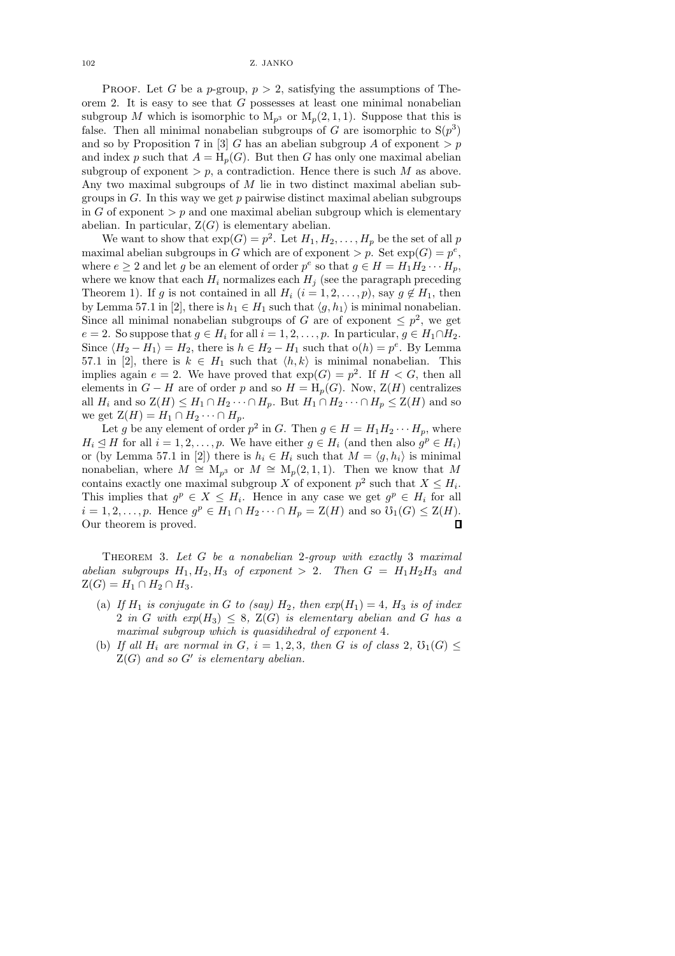PROOF. Let G be a p-group,  $p > 2$ , satisfying the assumptions of Theorem 2. It is easy to see that G possesses at least one minimal nonabelian subgroup M which is isomorphic to  $M_{p^3}$  or  $M_p(2, 1, 1)$ . Suppose that this is false. Then all minimal nonabelian subgroups of G are isomorphic to  $S(p^3)$ and so by Proposition 7 in [3] G has an abelian subgroup A of exponent  $> p$ and index p such that  $A = H_p(G)$ . But then G has only one maximal abelian subgroup of exponent  $\geq p$ , a contradiction. Hence there is such M as above. Any two maximal subgroups of  $M$  lie in two distinct maximal abelian subgroups in  $G$ . In this way we get  $p$  pairwise distinct maximal abelian subgroups in G of exponent  $\geq p$  and one maximal abelian subgroup which is elementary abelian. In particular,  $Z(G)$  is elementary abelian.

We want to show that  $\exp(G) = p^2$ . Let  $H_1, H_2, \ldots, H_p$  be the set of all p maximal abelian subgroups in G which are of exponent  $\geq p$ . Set  $\exp(G) = p^e$ , where  $e \geq 2$  and let g be an element of order  $p^e$  so that  $g \in H = H_1 H_2 \cdots H_p$ , where we know that each  $H_i$  normalizes each  $H_j$  (see the paragraph preceding Theorem 1). If g is not contained in all  $H_i$   $(i = 1, 2, \ldots, p)$ , say  $g \notin H_1$ , then by Lemma 57.1 in [2], there is  $h_1 \in H_1$  such that  $\langle g, h_1 \rangle$  is minimal nonabelian. Since all minimal nonabelian subgroups of G are of exponent  $\leq p^2$ , we get  $e = 2$ . So suppose that  $g \in H_i$  for all  $i = 1, 2, \ldots, p$ . In particular,  $g \in H_1 \cap H_2$ . Since  $\langle H_2 - H_1 \rangle = H_2$ , there is  $h \in H_2 - H_1$  such that  $o(h) = p^e$ . By Lemma 57.1 in [2], there is  $k \in H_1$  such that  $\langle h, k \rangle$  is minimal nonabelian. This implies again  $e = 2$ . We have proved that  $exp(G) = p^2$ . If  $H < G$ , then all elements in  $G - H$  are of order p and so  $H = H_p(G)$ . Now,  $Z(H)$  centralizes all  $H_i$  and so  $\mathbb{Z}(H) \leq H_1 \cap H_2 \cdots \cap H_p$ . But  $H_1 \cap H_2 \cdots \cap H_p \leq \mathbb{Z}(H)$  and so we get  $Z(H) = H_1 \cap H_2 \cdots \cap H_p$ .

Let g be any element of order  $p^2$  in G. Then  $g \in H = H_1 H_2 \cdots H_p$ , where  $H_i \leq H$  for all  $i = 1, 2, ..., p$ . We have either  $g \in H_i$  (and then also  $g^p \in H_i$ ) or (by Lemma 57.1 in [2]) there is  $h_i \in H_i$  such that  $M = \langle g, h_i \rangle$  is minimal nonabelian, where  $M \cong M_{p^3}$  or  $M \cong M_p(2,1,1)$ . Then we know that M contains exactly one maximal subgroup X of exponent  $p^2$  such that  $X \leq H_i$ . This implies that  $g^p \in X \leq H_i$ . Hence in any case we get  $g^p \in H_i$  for all  $i = 1, 2, \ldots, p$ . Hence  $g^p \in H_1 \cap H_2 \cdots \cap H_p = Z(H)$  and so  $\mathcal{O}_1(G) \leq Z(H)$ . Our theorem is proved. П

THEOREM 3. Let  $G$  be a nonabelian 2-group with exactly 3 maximal abelian subgroups  $H_1, H_2, H_3$  of exponent  $> 2$ . Then  $G = H_1 H_2 H_3$  and  $Z(G) = H_1 \cap H_2 \cap H_3.$ 

- (a) If  $H_1$  is conjugate in G to (say)  $H_2$ , then  $exp(H_1) = 4$ ,  $H_3$  is of index 2 in G with  $exp(H_3) \leq 8$ ,  $Z(G)$  is elementary abelian and G has a maximal subgroup which is quasidihedral of exponent 4.
- (b) If all  $H_i$  are normal in G,  $i = 1, 2, 3$ , then G is of class 2,  $\mathcal{O}_1(G) \leq$  $Z(G)$  and so  $G'$  is elementary abelian.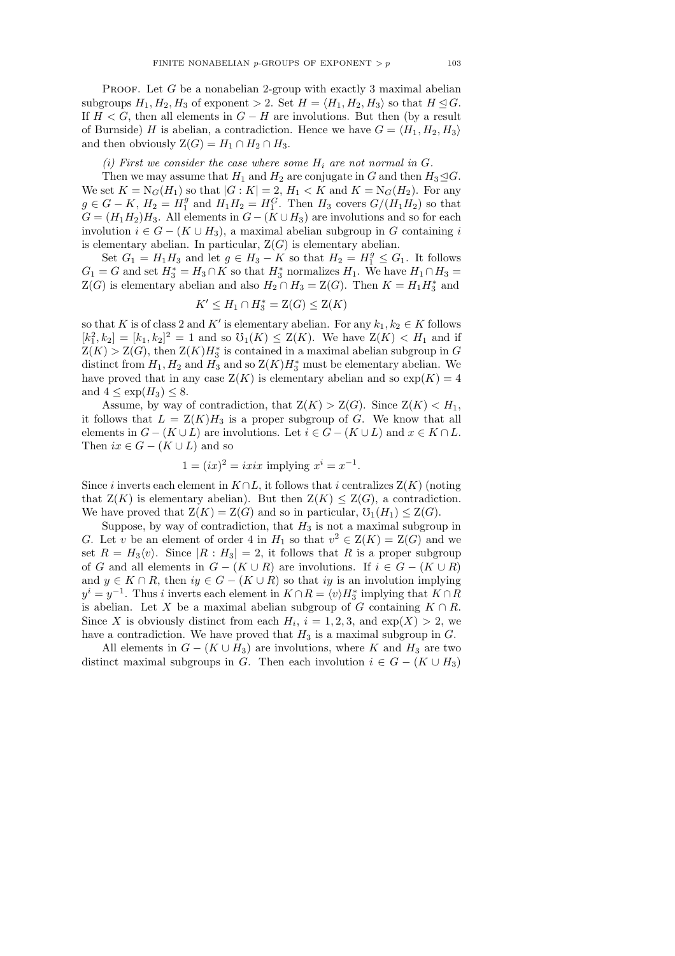**PROOF.** Let G be a nonabelian 2-group with exactly 3 maximal abelian subgroups  $H_1, H_2, H_3$  of exponent  $> 2$ . Set  $H = \langle H_1, H_2, H_3 \rangle$  so that  $H \leq G$ . If  $H < G$ , then all elements in  $G - H$  are involutions. But then (by a result of Burnside) H is abelian, a contradiction. Hence we have  $G = \langle H_1, H_2, H_3 \rangle$ and then obviously  $Z(G) = H_1 \cap H_2 \cap H_3$ .

## (i) First we consider the case where some  $H_i$  are not normal in  $G$ .

Then we may assume that  $H_1$  and  $H_2$  are conjugate in G and then  $H_3 \trianglelefteq G$ . We set  $K = N_G(H_1)$  so that  $|G: K| = 2$ ,  $H_1 < K$  and  $K = N_G(H_2)$ . For any  $g \in G - K$ ,  $H_2 = H_1^g$  and  $H_1 H_2 = H_1^G$ . Then  $H_3$  covers  $G/(H_1 H_2)$  so that  $G = (H_1H_2)H_3$ . All elements in  $G - (K \cup H_3)$  are involutions and so for each involution  $i \in G - (K \cup H_3)$ , a maximal abelian subgroup in G containing i is elementary abelian. In particular,  $Z(G)$  is elementary abelian.

Set  $G_1 = H_1 H_3$  and let  $g \in H_3 - K$  so that  $H_2 = H_1^g \leq G_1$ . It follows  $G_1 = G$  and set  $H_3^* = H_3 \cap K$  so that  $H_3^*$  normalizes  $H_1$ . We have  $H_1 \cap H_3 =$  $Z(G)$  is elementary abelian and also  $H_2 \cap H_3 = Z(G)$ . Then  $K = H_1 H_3^*$  and

$$
K' \le H_1 \cap H_3^* = \mathcal{Z}(G) \le \mathcal{Z}(K)
$$

so that K is of class 2 and K' is elementary abelian. For any  $k_1, k_2 \in K$  follows  $[k_1^2, k_2] = [k_1, k_2]^2 = 1$  and so  $\mathcal{O}_1(K) \leq \mathcal{Z}(K)$ . We have  $\mathcal{Z}(K) < H_1$  and if  $Z(K) > Z(G)$ , then  $Z(K)H_3^*$  is contained in a maximal abelian subgroup in G distinct from  $H_1, H_2$  and  $H_3$  and so  $\mathcal{Z}(K)H_3^*$  must be elementary abelian. We have proved that in any case  $Z(K)$  is elementary abelian and so  $\exp(K) = 4$ and  $4 < \exp(H_3) < 8$ .

Assume, by way of contradiction, that  $Z(K) > Z(G)$ . Since  $Z(K) < H_1$ , it follows that  $L = Z(K)H_3$  is a proper subgroup of G. We know that all elements in  $G - (K \cup L)$  are involutions. Let  $i \in G - (K \cup L)$  and  $x \in K \cap L$ . Then  $ix \in G - (K \cup L)$  and so

$$
1 = (ix)^2 = i x i x
$$
 implying  $x^i = x^{-1}$ .

Since i inverts each element in  $K \cap L$ , it follows that i centralizes  $Z(K)$  (noting that  $Z(K)$  is elementary abelian). But then  $Z(K) \leq Z(G)$ , a contradiction. We have proved that  $Z(K) = Z(G)$  and so in particular,  $\mathcal{O}_1(H_1) \leq Z(G)$ .

Suppose, by way of contradiction, that  $H_3$  is not a maximal subgroup in G. Let v be an element of order 4 in  $H_1$  so that  $v^2 \in Z(K) = Z(G)$  and we set  $R = H_3\langle v \rangle$ . Since  $|R : H_3| = 2$ , it follows that R is a proper subgroup of G and all elements in  $G - (K \cup R)$  are involutions. If  $i \in G - (K \cup R)$ and  $y \in K \cap R$ , then  $iy \in G - (K \cup R)$  so that iy is an involution implying  $y^i = y^{-1}$ . Thus i inverts each element in  $K \cap R = \langle v \rangle H_3^*$  implying that  $K \cap R$ is abelian. Let X be a maximal abelian subgroup of G containing  $K \cap R$ . Since X is obviously distinct from each  $H_i$ ,  $i = 1, 2, 3$ , and  $\exp(X) > 2$ , we have a contradiction. We have proved that  $H_3$  is a maximal subgroup in  $G$ .

All elements in  $G - (K \cup H_3)$  are involutions, where K and  $H_3$  are two distinct maximal subgroups in G. Then each involution  $i \in G - (K \cup H_3)$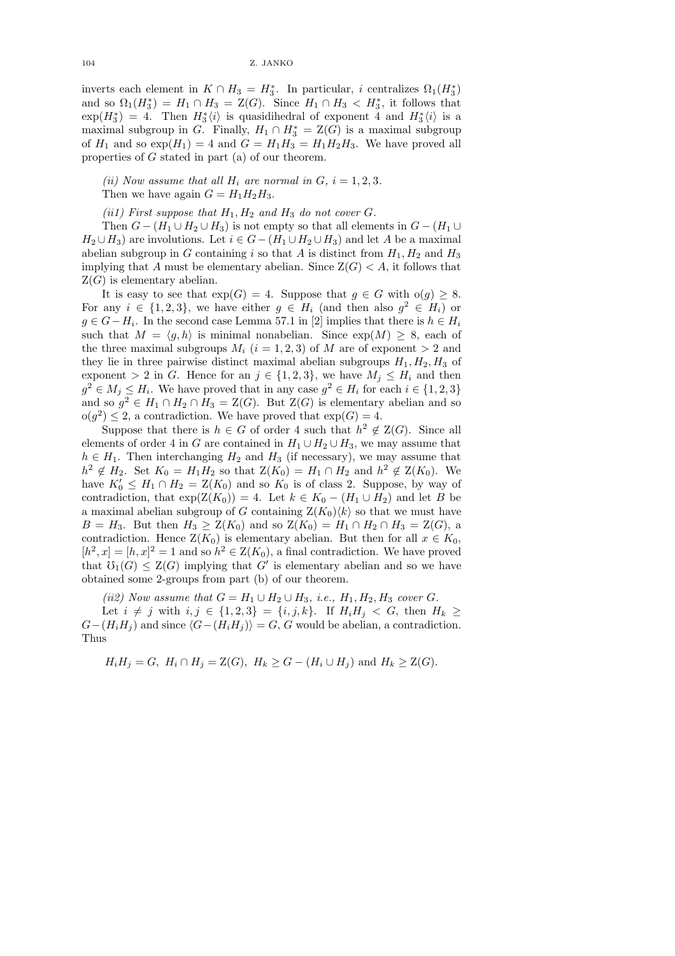inverts each element in  $K \cap H_3 = H_3^*$ . In particular, i centralizes  $\Omega_1(H_3^*)$ and so  $\Omega_1(H_3^*) = H_1 \cap H_3 = \mathbb{Z}(G)$ . Since  $H_1 \cap H_3 < H_3^*$ , it follows that  $\exp(H_3^*) = 4$ . Then  $H_3^*\langle i \rangle$  is quasidihedral of exponent 4 and  $H_3^*\langle i \rangle$  is a maximal subgroup in G. Finally,  $H_1 \cap H_3^* = Z(G)$  is a maximal subgroup of  $H_1$  and so  $\exp(H_1) = 4$  and  $G = H_1H_3 = H_1H_2H_3$ . We have proved all properties of G stated in part (a) of our theorem.

- (ii) Now assume that all  $H_i$  are normal in  $G$ ,  $i = 1, 2, 3$ .
- Then we have again  $G = H_1 H_2 H_3$ .
- (ii1) First suppose that  $H_1, H_2$  and  $H_3$  do not cover G.

Then  $G - (H_1 \cup H_2 \cup H_3)$  is not empty so that all elements in  $G - (H_1 \cup H_2 \cup H_3)$  $H_2 \cup H_3$  are involutions. Let  $i \in G - (H_1 \cup H_2 \cup H_3)$  and let A be a maximal abelian subgroup in G containing i so that A is distinct from  $H_1, H_2$  and  $H_3$ implying that A must be elementary abelian. Since  $Z(G) < A$ , it follows that  $Z(G)$  is elementary abelian.

It is easy to see that  $\exp(G) = 4$ . Suppose that  $g \in G$  with  $o(g) \geq 8$ . For any  $i \in \{1,2,3\}$ , we have either  $g \in H_i$  (and then also  $g^2 \in H_i$ ) or  $g \in G - H_i$ . In the second case Lemma 57.1 in [2] implies that there is  $h \in H_i$ such that  $M = \langle g, h \rangle$  is minimal nonabelian. Since  $exp(M) \geq 8$ , each of the three maximal subgroups  $M_i$   $(i = 1, 2, 3)$  of M are of exponent  $> 2$  and they lie in three pairwise distinct maximal abelian subgroups  $H_1, H_2, H_3$  of exponent > 2 in G. Hence for an  $j \in \{1,2,3\}$ , we have  $M_j \leq H_i$  and then  $g^2 \in M_j \leq H_i$ . We have proved that in any case  $g^2 \in H_i$  for each  $i \in \{1, 2, 3\}$ and so  $g^2 \in H_1 \cap H_2 \cap H_3 = \mathbb{Z}(G)$ . But  $\mathbb{Z}(G)$  is elementary abelian and so  $o(g^2) \leq 2$ , a contradiction. We have proved that  $exp(G) = 4$ .

Suppose that there is  $h \in G$  of order 4 such that  $h^2 \notin Z(G)$ . Since all elements of order 4 in G are contained in  $H_1 \cup H_2 \cup H_3$ , we may assume that  $h \in H_1$ . Then interchanging  $H_2$  and  $H_3$  (if necessary), we may assume that  $h^2 \notin H_2$ . Set  $K_0 = H_1 H_2$  so that  $\mathcal{Z}(K_0) = H_1 \cap H_2$  and  $h^2 \notin \mathcal{Z}(K_0)$ . We have  $K'_0 \leq H_1 \cap H_2 = \mathbb{Z}(K_0)$  and so  $K'_0$  is of class 2. Suppose, by way of contradiction, that  $\exp(Z(K_0)) = 4$ . Let  $k \in K_0 - (H_1 \cup H_2)$  and let B be a maximal abelian subgroup of G containing  $Z(K_0)\langle k\rangle$  so that we must have  $B = H_3$ . But then  $H_3 \geq Z(K_0)$  and so  $Z(K_0) = H_1 \cap H_2 \cap H_3 = Z(G)$ , a contradiction. Hence  $Z(K_0)$  is elementary abelian. But then for all  $x \in K_0$ ,  $[h^2, x] = [h, x]^2 = 1$  and so  $h^2 \in Z(K_0)$ , a final contradiction. We have proved that  $\mathcal{O}_1(G) \leq \mathcal{Z}(G)$  implying that  $G'$  is elementary abelian and so we have obtained some 2-groups from part (b) of our theorem.

(ii2) Now assume that  $G = H_1 \cup H_2 \cup H_3$ , i.e.,  $H_1, H_2, H_3$  cover G.

Let  $i \neq j$  with  $i, j \in \{1, 2, 3\} = \{i, j, k\}$ . If  $H_i H_j < G$ , then  $H_k \geq$  $G-(H_iH_j)$  and since  $\langle G-(H_iH_j) \rangle = G$ , G would be abelian, a contradiction. Thus

$$
H_i H_j = G, H_i \cap H_j = \mathbb{Z}(G), H_k \ge G - (H_i \cup H_j) \text{ and } H_k \ge \mathbb{Z}(G).
$$